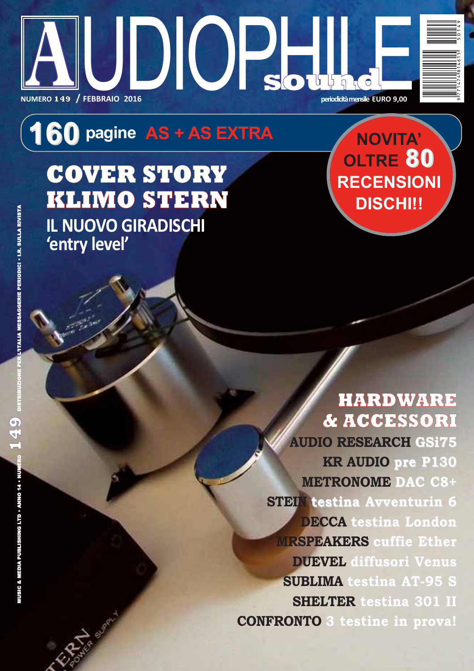

# 160 pagine AS + AS EXTRA

**COVER STORY KLIMO STERN IL NUOVO GIRADISCHI** 'entry level'

NOVITA' OLTRE 80 **RECENSIONI DISCHI!!** 

## **HARDWARE** & ACCESSORI

**AUDIO RESEARCH GSi75 KR AUDIO pre P130 METRONOME DAC C8+ STEIN testina Avventurin 6 DECCA** testina London **MRSPEAKERS cuffie Ether DUBVEL** diffusori Venus **SUBLIMA** testina AT-95 S **SHELTER testina 301 II CONFRONTO 3 testine in prova!**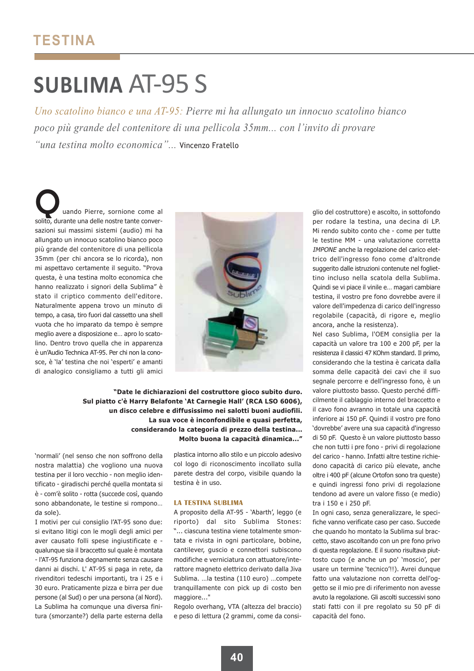## **SUBLIMA AT-95 S**

Uno scatolino bianco e una AT-95: Pierre mi ha allungato un innocuo scatolino bianco poco più grande del contenitore di una pellicola 35mm... con l'invito di provare "una testina molto economica"... Vincenzo Fratello

uando Pierre, sornione come al solito, durante una delle nostre tante conversazioni sui massimi sistemi (audio) mi ha allungato un innocuo scatolino bianco poco più grande del contenitore di una pellicola 35mm (per chi ancora se lo ricorda), non mi aspettavo certamente il seguito. "Prova questa, è una testina molto economica che hanno realizzato i signori della Sublima" è stato il criptico commento dell'editore. Naturalmente appena trovo un minuto di tempo, a casa, tiro fuori dal cassetto una shell vuota che ho imparato da tempo è sempre meglio avere a disposizione e... apro lo scatolino. Dentro trovo quella che in apparenza è un'Audio Technica AT-95. Per chi non la conosce, è 'la' testina che noi 'esperti' e amanti di analogico consigliamo a tutti gli amici



"Date le dichiarazioni del costruttore gioco subito duro. Sul piatto c'è Harry Belafonte 'At Carnegie Hall' (RCA LSO 6006), un disco celebre e diffusissimo nei salotti buoni audiofili. La sua voce è inconfondibile e quasi perfetta, considerando la categoria di prezzo della testina... Molto buona la capacità dinamica..."

'normali' (nel senso che non soffrono della nostra malattia) che vogliono una nuova testina per il loro vecchio - non meglio identificato - giradischi perché quella montata si è - com'è solito - rotta (succede così, quando sono abbandonate, le testine si rompono... da sole)

I motivi per cui consiglio l'AT-95 sono due: si evitano litigi con le mogli degli amici per aver causato folli spese ingiustificate e qualunque sia il braccetto sul quale è montata - l'AT-95 funziona degnamente senza causare danni ai dischi. L' AT-95 si paga in rete, da rivenditori tedeschi importanti, tra i 25 e i 30 euro. Praticamente pizza e birra per due persone (al Sud) o per una persona (al Nord). La Sublima ha comungue una diversa finitura (smorzante?) della parte esterna della

plastica intorno allo stilo e un piccolo adesivo col logo di riconoscimento incollato sulla parete destra del corpo, visibile quando la testina è in uso.

#### **LA TESTINA SUBLIMA**

A proposito della AT-95 - 'Abarth', leggo (e riporto) dal sito Sublima Stones: "... ciascuna testina viene totalmente smontata e rivista in ogni particolare, bobine, cantilever, guscio e connettori subiscono modifiche e verniciatura con attuatore/interattore magneto elettrico derivato dalla Jiva Sublima. ... la testina (110 euro) ... compete tranquillamente con pick up di costo ben maggiore..."

Regolo overhang, VTA (altezza del braccio) e peso di lettura (2 grammi, come da consiglio del costruttore) e ascolto, in sottofondo per rodare la testina, una decina di LP. Mi rendo subito conto che - come per tutte le testine MM - una valutazione corretta IMPONE anche la regolazione del carico elettrico dell'ingresso fono come d'altronde suggerito dalle istruzioni contenute nel fogliettino incluso nella scatola della Sublima. Quindi se vi piace il vinile e... magari cambiare testina, il vostro pre fono dovrebbe avere il valore dell'impedenza di carico dell'ingresso regolabile (capacità, di rigore e, meglio ancora, anche la resistenza).

Nel caso Sublima, l'OEM consiglia per la capacità un valore tra 100 e 200 pF, per la resistenza il classici 47 KOhm standard. Il primo, considerando che la testina è caricata dalla somma delle capacità dei cavi che il suo segnale percorre e dell'ingresso fono, è un valore piuttosto basso. Questo perché difficilmente il cablaggio interno del braccetto e il cavo fono avranno in totale una capacità inferiore ai 150 pF. Quindi il vostro pre fono 'dovrebbe' avere una sua capacità d'ingresso di 50 pF. Questo è un valore piuttosto basso che non tutti i pre fono - privi di regolazione del carico - hanno. Infatti altre testine richiedono capacità di carico più elevate, anche oltre i 400 pF (alcune Ortofon sono tra queste) e quindi ingressi fono privi di regolazione tendono ad avere un valore fisso (e medio) tra i 150 e i 250 pF.

In ogni caso, senza generalizzare, le specifiche vanno verificate caso per caso. Succede che quando ho montato la Sublima sul braccetto, stavo ascoltando con un pre fono privo di questa regolazione. E il suono risultava piuttosto cupo (e anche un po' 'moscio', per usare un termine 'tecnico'!!). Avrei dunque fatto una valutazione non corretta dell'oggetto se il mio pre di riferimento non avesse avuto la regolazione. Gli ascolti successivi sono stati fatti con il pre regolato su 50 pF di capacità del fono.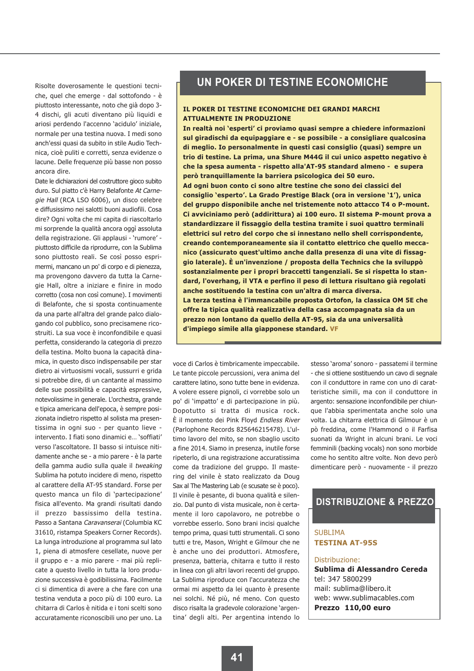Risolte doverosamente le questioni tecniche, quel che emerge - dal sottofondo - è piuttosto interessante, noto che già dopo 3-4 dischi, gli acuti diventano più liquidi e ariosi perdendo l'accenno 'acidulo' iniziale, normale per una testina nuova. I medi sono anch'essi quasi da subito in stile Audio Technica, cioè puliti e corretti, senza evidenze o lacune. Delle frequenze più basse non posso ancora dire.

Date le dichiarazioni del costruttore gioco subito duro. Sul piatto c'è Harry Belafonte At Carnegie Hall (RCA LSO 6006), un disco celebre e diffusissimo nei salotti buoni audiofili. Cosa dire? Ogni volta che mi capita di riascoltarlo mi sorprende la qualità ancora oggì assoluta della registrazione. Gli applausi - 'rumore' piuttosto difficile da riprodurre, con la Sublima sono piuttosto reali. Se così posso esprimermi, mancano un po' di corpo e di pienezza, ma provengono davvero da tutta la Carnegie Hall, oltre a iniziare e finire in modo corretto (cosa non così comune). I movimenti di Belafonte, che si sposta continuamente da una parte all'altra del grande palco dialogando col pubblico, sono precisamene ricostruiti. La sua voce è inconfondibile e quasi perfetta, considerando la categoria di prezzo della testina. Molto buona la capacità dinamica, in questo disco indispensabile per star dietro ai virtuosismi vocali, sussurri e grida si potrebbe dire, di un cantante al massimo delle sue possibilità e capacità espressive, notevolissime in generale. L'orchestra, grande e tipica americana dell'epoca, è sempre posizionata indietro rispetto al solista ma presentissima in ogni suo - per quanto lieve intervento. I fiati sono dinamici e... 'soffiati' verso l'ascoltatore. Il basso si intuisce nitidamente anche se - a mio parere - è la parte della gamma audio sulla quale il tweaking Sublima ha potuto incidere di meno, rispetto al carattere della AT-95 standard. Forse per questo manca un filo di 'partecipazione' fisica all'evento. Ma grandi risultati dando il prezzo bassissimo della testina. Passo a Santana Caravanserai (Columbia KC 31610, ristampa Speakers Corner Records). La lunga introduzione al programma sul lato 1, piena di atmosfere cesellate, nuove per il gruppo e - a mio parere - mai più replicate a questo livello in tutta la loro produzione successiva è godibilissima. Facilmente ci si dimentica di avere a che fare con una testina venduta a poco più di 100 euro. La chitarra di Carlos è nitida e i toni scelti sono accuratamente riconoscibili uno per uno. La

### UN POKER DI TESTINE ECONOMICHE

#### IL POKER DI TESTINE ECONOMICHE DEI GRANDI MARCHI **ATTUALMENTE IN PRODUZIONE**

In realtà noi 'esperti' ci proviamo quasi sempre a chiedere informazioni sul giradischi da equipaggiare e - se possibile - a consigliare qualcosina di meglio. Io personalmente in questi casi consiglio (quasi) sempre un trio di testine. La prima, una Shure M44G il cui unico aspetto negativo è che la spesa aumenta - rispetto alla'AT-95 standard almeno - e supera però tranquillamente la barriera psicologica dei 50 euro.

Ad ogni buon conto ci sono altre testine che sono dei classici del consiglio 'esperto'. La Grado Prestige Black (ora in versione '1'), unica del gruppo disponibile anche nel tristemente noto attacco T4 o P-mount. Ci avviciniamo però (addirittura) ai 100 euro. Il sistema P-mount prova a standardizzare il fissaggio della testina tramite i suoi quattro terminali elettrici sul retro del corpo che si innestano nello shell corrispondente, creando contemporaneamente sia il contatto elettrico che quello meccanico (assicurato quest'ultimo anche dalla presenza di una vite di fissaggio laterale). È un'invenzione / proposta della Technics che la sviluppò sostanzialmente per i propri braccetti tangenziali. Se si rispetta lo standard, l'overhang, il VTA e perfino il peso di lettura risultano già regolati anche sostituendo la testina con un'altra di marca diversa. La terza testina è l'immancabile proposta Ortofon, la classica OM 5E che offre la tipica qualità realizzativa della casa accompagnata sia da un prezzo non lontano da quello della AT-95, sia da una universalità d'impiego simile alla giapponese standard. VF

voce di Carlos è timbricamente impeccabile. Le tante piccole percussioni, vera anima del carattere latino, sono tutte bene in evidenza. A volere essere pignoli, ci vorrebbe solo un po' di 'impatto' e di partecipazione in più. Dopotutto si tratta di musica rock. È il momento dei Pink Floyd Endless River (Parlophone Records 825646215478). L'ultimo lavoro del mito, se non sbaglio uscito a fine 2014. Siamo in presenza, inutile forse ripeterlo, di una registrazione accuratissima come da tradizione del gruppo. Il mastering del vinile è stato realizzato da Doug Sax al The Mastering Lab (e scusate se è poco). Il vinile è pesante, di buona qualità e silenzio. Dal punto di vista musicale, non è certamente il loro capolavoro, ne potrebbe o vorrebbe esserlo. Sono brani incisi qualche tempo prima, quasi tutti strumentali. Ci sono tutti e tre, Mason, Wright e Gilmour che ne è anche uno dei produttori. Atmosfere, presenza, batteria, chitarra e tutto il resto in linea con gli altri lavori recenti del gruppo. La Sublima riproduce con l'accuratezza che ormai mi aspetto da lei quanto è presente nei solchi. Né più, né meno. Con questo disco risalta la gradevole colorazione 'argentina' degli alti. Per argentina intendo lo

stesso 'aroma' sonoro - passatemi il termine - che si ottiene sostituendo un cavo di segnale con il conduttore in rame con uno di caratteristiche simili, ma con il conduttore in argento: sensazione inconfondibile per chiunque l'abbia sperimentata anche solo una volta. La chitarra elettrica di Gilmour è un pò freddina, come l'Hammond o il Farfisa suonati da Wright in alcuni brani. Le voci femminili (backing vocals) non sono morbide come ho sentito altre volte. Non devo però dimenticare però - nuovamente - il prezzo

#### **DISTRIBUZIONE & PREZZO**

#### **SUBLIMA TESTINA AT-95S**

#### Distribuzione:

Sublima di Alessandro Cereda tel: 347 5800299 mail: sublima@libero.it web: www.sublimacables.com Prezzo 110,00 euro